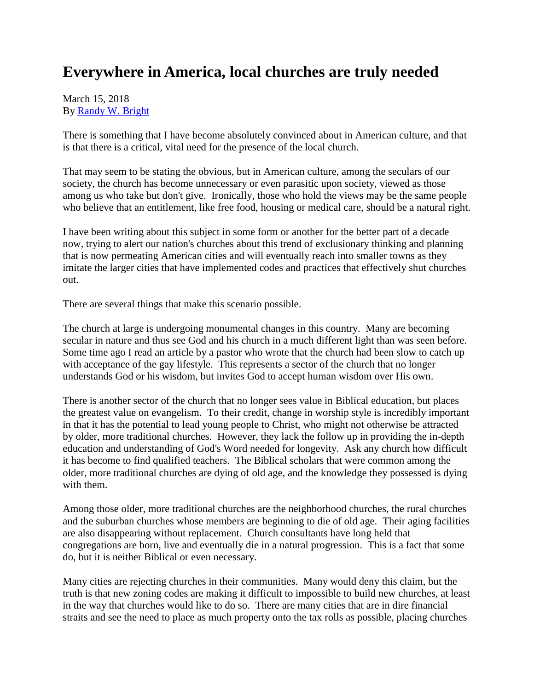## **Everywhere in America, local churches are truly needed**

## March 15, 2018 By [Randy W. Bright](http://www.tulsabeacon.com/author/slug-o6yd1v)

There is something that I have become absolutely convinced about in American culture, and that is that there is a critical, vital need for the presence of the local church.

That may seem to be stating the obvious, but in American culture, among the seculars of our society, the church has become unnecessary or even parasitic upon society, viewed as those among us who take but don't give. Ironically, those who hold the views may be the same people who believe that an entitlement, like free food, housing or medical care, should be a natural right.

I have been writing about this subject in some form or another for the better part of a decade now, trying to alert our nation's churches about this trend of exclusionary thinking and planning that is now permeating American cities and will eventually reach into smaller towns as they imitate the larger cities that have implemented codes and practices that effectively shut churches out.

There are several things that make this scenario possible.

The church at large is undergoing monumental changes in this country. Many are becoming secular in nature and thus see God and his church in a much different light than was seen before. Some time ago I read an article by a pastor who wrote that the church had been slow to catch up with acceptance of the gay lifestyle. This represents a sector of the church that no longer understands God or his wisdom, but invites God to accept human wisdom over His own.

There is another sector of the church that no longer sees value in Biblical education, but places the greatest value on evangelism. To their credit, change in worship style is incredibly important in that it has the potential to lead young people to Christ, who might not otherwise be attracted by older, more traditional churches. However, they lack the follow up in providing the in-depth education and understanding of God's Word needed for longevity. Ask any church how difficult it has become to find qualified teachers. The Biblical scholars that were common among the older, more traditional churches are dying of old age, and the knowledge they possessed is dying with them.

Among those older, more traditional churches are the neighborhood churches, the rural churches and the suburban churches whose members are beginning to die of old age. Their aging facilities are also disappearing without replacement. Church consultants have long held that congregations are born, live and eventually die in a natural progression. This is a fact that some do, but it is neither Biblical or even necessary.

Many cities are rejecting churches in their communities. Many would deny this claim, but the truth is that new zoning codes are making it difficult to impossible to build new churches, at least in the way that churches would like to do so. There are many cities that are in dire financial straits and see the need to place as much property onto the tax rolls as possible, placing churches